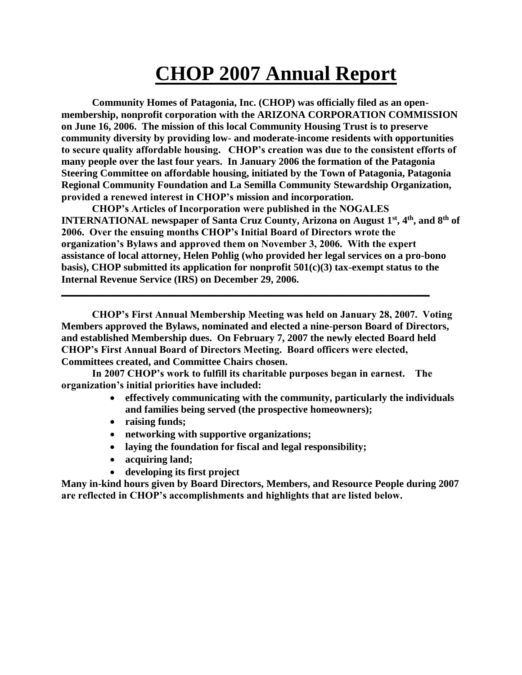## **CHOP 2007 Annual Report**

**Community Homes of Patagonia, Inc. (CHOP) was officially filed as an openmembership, nonprofit corporation with the ARIZONA CORPORATION COMMISSION on June 16, 2006. The mission of this local Community Housing Trust is to preserve community diversity by providing low- and moderate-income residents with opportunities to secure quality affordable housing. CHOP's creation was due to the consistent efforts of many people over the last four years. In January 2006 the formation of the Patagonia Steering Committee on affordable housing, initiated by the Town of Patagonia, Patagonia Regional Community Foundation and La Semilla Community Stewardship Organization, provided a renewed interest in CHOP's mission and incorporation.**

**CHOP's Articles of Incorporation were published in the NOGALES INTERNATIONAL newspaper of Santa Cruz County, Arizona on August 1st, 4th, and 8th of 2006. Over the ensuing months CHOP's Initial Board of Directors wrote the organization's Bylaws and approved them on November 3, 2006. With the expert assistance of local attorney, Helen Pohlig (who provided her legal services on a pro-bono basis), CHOP submitted its application for nonprofit 501(c)(3) tax-exempt status to the Internal Revenue Service (IRS) on December 29, 2006.**

**CHOP's First Annual Membership Meeting was held on January 28, 2007. Voting Members approved the Bylaws, nominated and elected a nine-person Board of Directors, and established Membership dues. On February 7, 2007 the newly elected Board held CHOP's First Annual Board of Directors Meeting. Board officers were elected, Committees created, and Committee Chairs chosen.** 

**In 2007 CHOP's work to fulfill its charitable purposes began in earnest. The organization's initial priorities have included:**

**\_\_\_\_\_\_\_\_\_\_\_\_\_\_\_\_\_\_\_\_\_\_\_\_\_\_\_\_\_\_\_\_\_\_\_\_\_\_\_\_\_\_\_\_\_\_\_\_\_\_\_\_\_\_\_\_\_\_\_\_\_\_\_\_\_\_\_\_\_\_\_\_** 

- **effectively communicating with the community, particularly the individuals and families being served (the prospective homeowners);**
- **raising funds;**
- **networking with supportive organizations;**
- **laying the foundation for fiscal and legal responsibility;**
- **acquiring land;**
- **developing its first project**

**Many in-kind hours given by Board Directors, Members, and Resource People during 2007 are reflected in CHOP's accomplishments and highlights that are listed below.**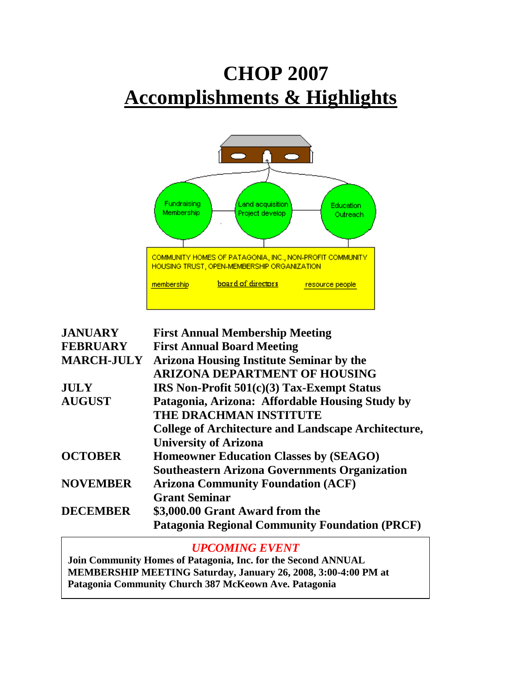# **CHOP 2007 Accomplishments & Highlights**



| <b>JANUARY</b>    | <b>First Annual Membership Meeting</b>                     |
|-------------------|------------------------------------------------------------|
| <b>FEBRUARY</b>   | <b>First Annual Board Meeting</b>                          |
| <b>MARCH-JULY</b> | <b>Arizona Housing Institute Seminar by the</b>            |
|                   | <b>ARIZONA DEPARTMENT OF HOUSING</b>                       |
| <b>JULY</b>       | <b>IRS Non-Profit 501(c)(3) Tax-Exempt Status</b>          |
| <b>AUGUST</b>     | Patagonia, Arizona: Affordable Housing Study by            |
|                   | THE DRACHMAN INSTITUTE                                     |
|                   | <b>College of Architecture and Landscape Architecture,</b> |
|                   | <b>University of Arizona</b>                               |
| <b>OCTOBER</b>    | <b>Homeowner Education Classes by (SEAGO)</b>              |
|                   | <b>Southeastern Arizona Governments Organization</b>       |
| <b>NOVEMBER</b>   | <b>Arizona Community Foundation (ACF)</b>                  |
|                   | <b>Grant Seminar</b>                                       |
| <b>DECEMBER</b>   | \$3,000.00 Grant Award from the                            |
|                   | <b>Patagonia Regional Community Foundation (PRCF)</b>      |

### *UPCOMING EVENT*

**Join Community Homes of Patagonia, Inc. for the Second ANNUAL MEMBERSHIP MEETING Saturday, January 26, 2008, 3:00-4:00 PM at Patagonia Community Church 387 McKeown Ave. Patagonia**